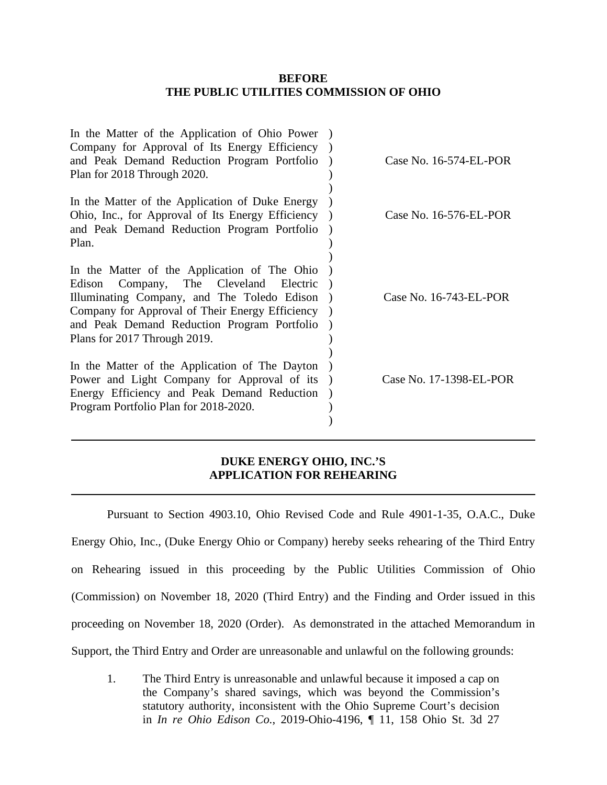### **BEFORE THE PUBLIC UTILITIES COMMISSION OF OHIO**

| In the Matter of the Application of Ohio Power<br>Company for Approval of Its Energy Efficiency<br>and Peak Demand Reduction Program Portfolio<br>Plan for 2018 Through 2020.                                                                                              | Case No. 16-574-EL-POR  |
|----------------------------------------------------------------------------------------------------------------------------------------------------------------------------------------------------------------------------------------------------------------------------|-------------------------|
| In the Matter of the Application of Duke Energy<br>Ohio, Inc., for Approval of Its Energy Efficiency<br>and Peak Demand Reduction Program Portfolio<br>Plan.                                                                                                               | Case No. 16-576-EL-POR  |
| In the Matter of the Application of The Ohio<br>Company, The Cleveland Electric<br>Edison<br>Illuminating Company, and The Toledo Edison<br>Company for Approval of Their Energy Efficiency<br>and Peak Demand Reduction Program Portfolio<br>Plans for 2017 Through 2019. | Case No. 16-743-EL-POR  |
| In the Matter of the Application of The Dayton<br>Power and Light Company for Approval of its<br>Energy Efficiency and Peak Demand Reduction<br>Program Portfolio Plan for 2018-2020.                                                                                      | Case No. 17-1398-EL-POR |

## **DUKE ENERGY OHIO, INC.'S APPLICATION FOR REHEARING**

Pursuant to Section 4903.10, Ohio Revised Code and Rule 4901-1-35, O.A.C., Duke Energy Ohio, Inc., (Duke Energy Ohio or Company) hereby seeks rehearing of the Third Entry on Rehearing issued in this proceeding by the Public Utilities Commission of Ohio (Commission) on November 18, 2020 (Third Entry) and the Finding and Order issued in this proceeding on November 18, 2020 (Order). As demonstrated in the attached Memorandum in Support, the Third Entry and Order are unreasonable and unlawful on the following grounds:

1. The Third Entry is unreasonable and unlawful because it imposed a cap on the Company's shared savings, which was beyond the Commission's statutory authority, inconsistent with the Ohio Supreme Court's decision in *In re Ohio Edison Co.*, 2019-Ohio-4196, ¶ 11, 158 Ohio St. 3d 27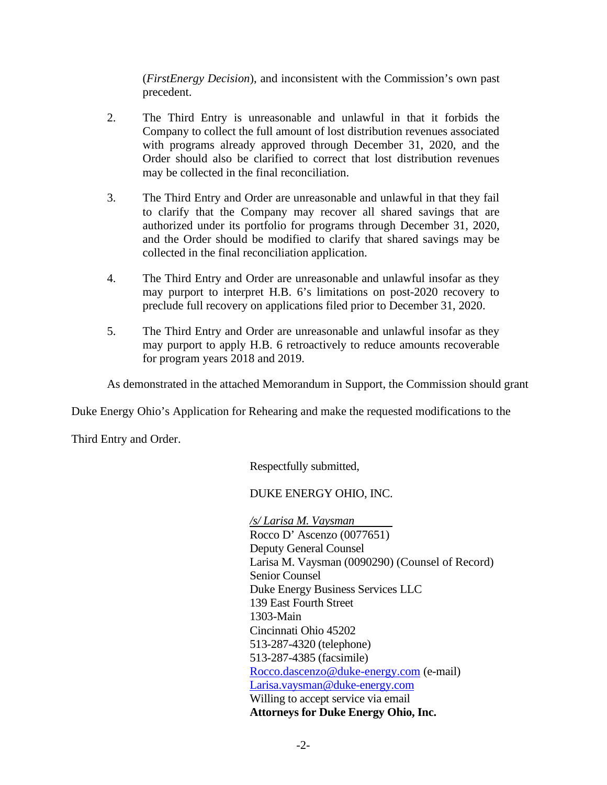(*FirstEnergy Decision*), and inconsistent with the Commission's own past precedent.

- 2. The Third Entry is unreasonable and unlawful in that it forbids the Company to collect the full amount of lost distribution revenues associated with programs already approved through December 31, 2020, and the Order should also be clarified to correct that lost distribution revenues may be collected in the final reconciliation.
- 3. The Third Entry and Order are unreasonable and unlawful in that they fail to clarify that the Company may recover all shared savings that are authorized under its portfolio for programs through December 31, 2020, and the Order should be modified to clarify that shared savings may be collected in the final reconciliation application.
- 4. The Third Entry and Order are unreasonable and unlawful insofar as they may purport to interpret H.B. 6's limitations on post-2020 recovery to preclude full recovery on applications filed prior to December 31, 2020.
- 5. The Third Entry and Order are unreasonable and unlawful insofar as they may purport to apply H.B. 6 retroactively to reduce amounts recoverable for program years 2018 and 2019.

As demonstrated in the attached Memorandum in Support, the Commission should grant

Duke Energy Ohio's Application for Rehearing and make the requested modifications to the

Third Entry and Order.

Respectfully submitted,

## DUKE ENERGY OHIO, INC.

*/s/ Larisa M. Vaysman* Rocco D' Ascenzo (0077651) Deputy General Counsel Larisa M. Vaysman (0090290) (Counsel of Record) Senior Counsel Duke Energy Business Services LLC 139 East Fourth Street 1303-Main Cincinnati Ohio 45202 513-287-4320 (telephone) 513-287-4385 (facsimile) [Rocco.dascenzo@duke-energy.com](mailto:Rocco.dascenzo@duke-energy.com) (e-mail) [Larisa.vaysman@duke-energy.com](mailto:Larisa.vaysman@duke-energy.com) Willing to accept service via email **Attorneys for Duke Energy Ohio, Inc.**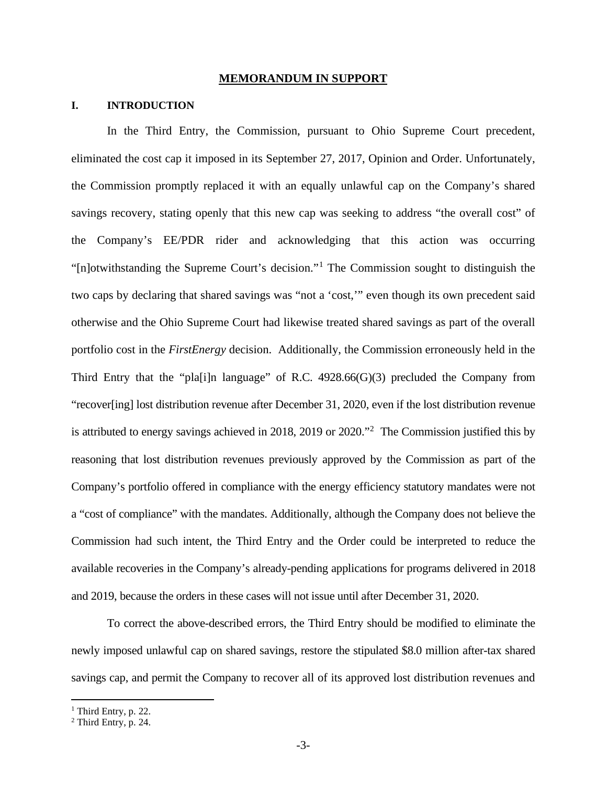#### **MEMORANDUM IN SUPPORT**

### **I. INTRODUCTION**

In the Third Entry, the Commission, pursuant to Ohio Supreme Court precedent, eliminated the cost cap it imposed in its September 27, 2017, Opinion and Order. Unfortunately, the Commission promptly replaced it with an equally unlawful cap on the Company's shared savings recovery, stating openly that this new cap was seeking to address "the overall cost" of the Company's EE/PDR rider and acknowledging that this action was occurring "[n]otwithstanding the Supreme Court's decision."[1](#page-2-1) The Commission sought to distinguish the two caps by declaring that shared savings was "not a 'cost,'" even though its own precedent said otherwise and the Ohio Supreme Court had likewise treated shared savings as part of the overall portfolio cost in the *FirstEnergy* decision. Additionally, the Commission erroneously held in the Third Entry that the "pla[i]n language" of R.C. 4928.66(G)(3) precluded the Company from "recover[ing] lost distribution revenue after December 31, 2020, even if the lost distribution revenue is attributed to energy savings achieved in [2](#page-2-0)018, 2019 or 2020."<sup>2</sup> The Commission justified this by reasoning that lost distribution revenues previously approved by the Commission as part of the Company's portfolio offered in compliance with the energy efficiency statutory mandates were not a "cost of compliance" with the mandates. Additionally, although the Company does not believe the Commission had such intent, the Third Entry and the Order could be interpreted to reduce the available recoveries in the Company's already-pending applications for programs delivered in 2018 and 2019, because the orders in these cases will not issue until after December 31, 2020.

To correct the above-described errors, the Third Entry should be modified to eliminate the newly imposed unlawful cap on shared savings, restore the stipulated \$8.0 million after-tax shared savings cap, and permit the Company to recover all of its approved lost distribution revenues and

<span id="page-2-1"></span><sup>&</sup>lt;sup>1</sup> Third Entry, p. 22.

<span id="page-2-0"></span> $2$  Third Entry, p. 24.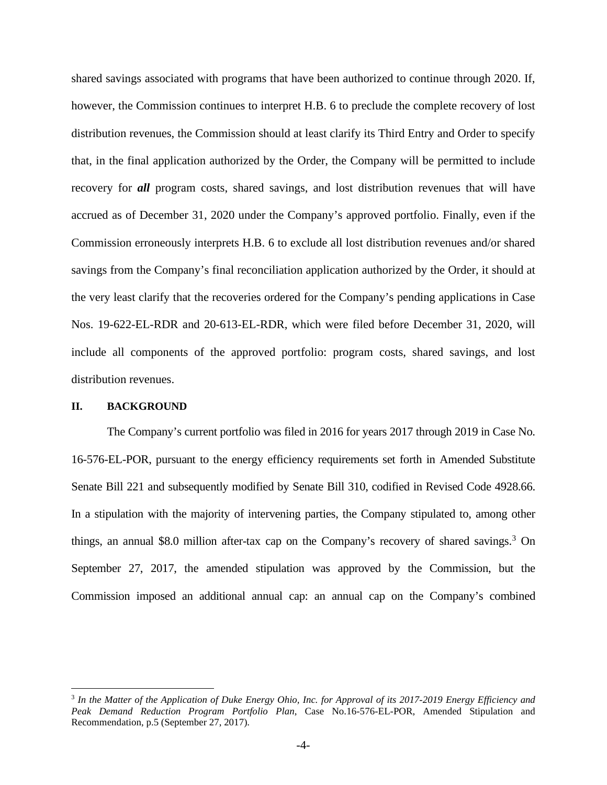shared savings associated with programs that have been authorized to continue through 2020. If, however, the Commission continues to interpret H.B. 6 to preclude the complete recovery of lost distribution revenues, the Commission should at least clarify its Third Entry and Order to specify that, in the final application authorized by the Order, the Company will be permitted to include recovery for *all* program costs, shared savings, and lost distribution revenues that will have accrued as of December 31, 2020 under the Company's approved portfolio. Finally, even if the Commission erroneously interprets H.B. 6 to exclude all lost distribution revenues and/or shared savings from the Company's final reconciliation application authorized by the Order, it should at the very least clarify that the recoveries ordered for the Company's pending applications in Case Nos. 19-622-EL-RDR and 20-613-EL-RDR, which were filed before December 31, 2020, will include all components of the approved portfolio: program costs, shared savings, and lost distribution revenues.

#### **II. BACKGROUND**

The Company's current portfolio was filed in 2016 for years 2017 through 2019 in Case No. 16-576-EL-POR, pursuant to the energy efficiency requirements set forth in Amended Substitute Senate Bill 221 and subsequently modified by Senate Bill 310, codified in Revised Code 4928.66. In a stipulation with the majority of intervening parties, the Company stipulated to, among other things, an annual \$8.0 million after-tax cap on the Company's recovery of shared savings.<sup>[3](#page-3-0)</sup> On September 27, 2017, the amended stipulation was approved by the Commission, but the Commission imposed an additional annual cap: an annual cap on the Company's combined

<span id="page-3-0"></span><sup>3</sup> *In the Matter of the Application of Duke Energy Ohio, Inc. for Approval of its 2017-2019 Energy Efficiency and Peak Demand Reduction Program Portfolio Plan*, Case No.16-576-EL-POR, Amended Stipulation and Recommendation, p.5 (September 27, 2017).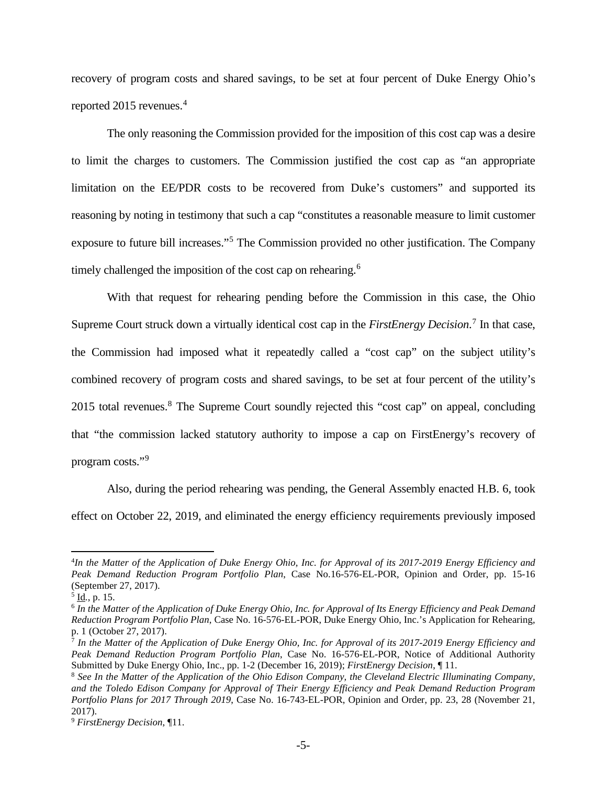recovery of program costs and shared savings, to be set at four percent of Duke Energy Ohio's reported 2015 revenues.<sup>[4](#page-4-3)</sup>

The only reasoning the Commission provided for the imposition of this cost cap was a desire to limit the charges to customers. The Commission justified the cost cap as "an appropriate limitation on the EE/PDR costs to be recovered from Duke's customers" and supported its reasoning by noting in testimony that such a cap "constitutes a reasonable measure to limit customer exposure to future bill increases."[5](#page-4-4) The Commission provided no other justification. The Company timely challenged the imposition of the cost cap on rehearing.<sup>[6](#page-4-5)</sup>

With that request for rehearing pending before the Commission in this case, the Ohio Supreme Court struck down a virtually identical cost cap in the *FirstEnergy Decision*. [7](#page-4-0) In that case, the Commission had imposed what it repeatedly called a "cost cap" on the subject utility's combined recovery of program costs and shared savings, to be set at four percent of the utility's 2015 total revenues.<sup>[8](#page-4-1)</sup> The Supreme Court soundly rejected this "cost cap" on appeal, concluding that "the commission lacked statutory authority to impose a cap on FirstEnergy's recovery of program costs."[9](#page-4-2)

Also, during the period rehearing was pending, the General Assembly enacted H.B. 6, took effect on October 22, 2019, and eliminated the energy efficiency requirements previously imposed

<span id="page-4-3"></span><sup>4</sup> *In the Matter of the Application of Duke Energy Ohio, Inc. for Approval of its 2017-2019 Energy Efficiency and Peak Demand Reduction Program Portfolio Plan*, Case No.16-576-EL-POR, Opinion and Order, pp. 15-16 (September 27, 2017).

<span id="page-4-4"></span><sup>5</sup> Id*.*, p. 15.

<span id="page-4-5"></span><sup>6</sup> *In the Matter of the Application of Duke Energy Ohio, Inc. for Approval of Its Energy Efficiency and Peak Demand Reduction Program Portfolio Plan*, Case No. 16-576-EL-POR, Duke Energy Ohio, Inc.'s Application for Rehearing, p. 1 (October 27, 2017).

<span id="page-4-0"></span><sup>7</sup> *In the Matter of the Application of Duke Energy Ohio, Inc. for Approval of its 2017-2019 Energy Efficiency and Peak Demand Reduction Program Portfolio Plan*, Case No. 16-576-EL-POR, Notice of Additional Authority Submitted by Duke Energy Ohio, Inc., pp. 1-2 (December 16, 2019); *FirstEnergy Decision*, ¶ 11.

<span id="page-4-1"></span><sup>8</sup> *See In the Matter of the Application of the Ohio Edison Company, the Cleveland Electric Illuminating Company, and the Toledo Edison Company for Approval of Their Energy Efficiency and Peak Demand Reduction Program Portfolio Plans for 2017 Through 2019*, Case No. 16-743-EL-POR, Opinion and Order, pp. 23, 28 (November 21, 2017).

<span id="page-4-2"></span><sup>9</sup> *FirstEnergy Decision*, ¶11.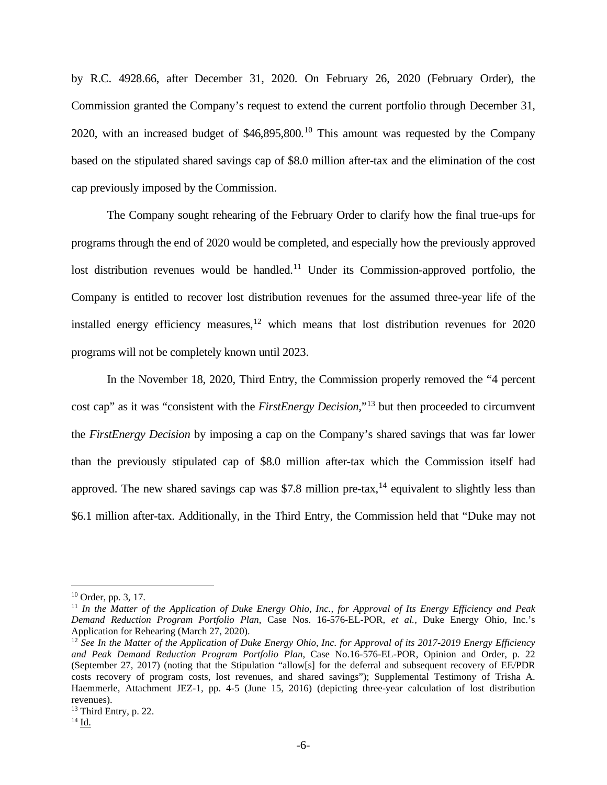by R.C. 4928.66, after December 31, 2020. On February 26, 2020 (February Order), the Commission granted the Company's request to extend the current portfolio through December 31, 2020, with an increased budget of  $$46,895,800$ <sup>[10](#page-5-3)</sup> This amount was requested by the Company based on the stipulated shared savings cap of \$8.0 million after-tax and the elimination of the cost cap previously imposed by the Commission.

The Company sought rehearing of the February Order to clarify how the final true-ups for programs through the end of 2020 would be completed, and especially how the previously approved lost distribution revenues would be handled.<sup>[11](#page-5-4)</sup> Under its Commission-approved portfolio, the Company is entitled to recover lost distribution revenues for the assumed three-year life of the installed energy efficiency measures, $12$  which means that lost distribution revenues for 2020 programs will not be completely known until 2023.

In the November 18, 2020, Third Entry, the Commission properly removed the "4 percent cost cap" as it was "consistent with the *FirstEnergy Decision*,"[13](#page-5-0) but then proceeded to circumvent the *FirstEnergy Decision* by imposing a cap on the Company's shared savings that was far lower than the previously stipulated cap of \$8.0 million after-tax which the Commission itself had approved. The new shared savings cap was \$7.8 million pre-tax,<sup>[14](#page-5-1)</sup> equivalent to slightly less than \$6.1 million after-tax. Additionally, in the Third Entry, the Commission held that "Duke may not

<span id="page-5-3"></span><sup>10</sup> Order, pp. 3, 17.

<span id="page-5-4"></span><sup>11</sup> *In the Matter of the Application of Duke Energy Ohio, Inc., for Approval of Its Energy Efficiency and Peak Demand Reduction Program Portfolio Plan*, Case Nos. 16-576-EL-POR, *et al.*, Duke Energy Ohio, Inc.'s Application for Rehearing (March 27, 2020).

<span id="page-5-2"></span><sup>&</sup>lt;sup>12</sup> See In the Matter of the Application of Duke Energy Ohio, Inc. for Approval of its 2017-2019 Energy Efficiency *and Peak Demand Reduction Program Portfolio Plan*, Case No.16-576-EL-POR, Opinion and Order, p. 22 (September 27, 2017) (noting that the Stipulation "allow[s] for the deferral and subsequent recovery of EE/PDR costs recovery of program costs, lost revenues, and shared savings"); Supplemental Testimony of Trisha A. Haemmerle, Attachment JEZ-1, pp. 4-5 (June 15, 2016) (depicting three-year calculation of lost distribution revenues).

<span id="page-5-0"></span><sup>&</sup>lt;sup>13</sup> Third Entry, p. 22.

<span id="page-5-1"></span> $^{14}$  Id.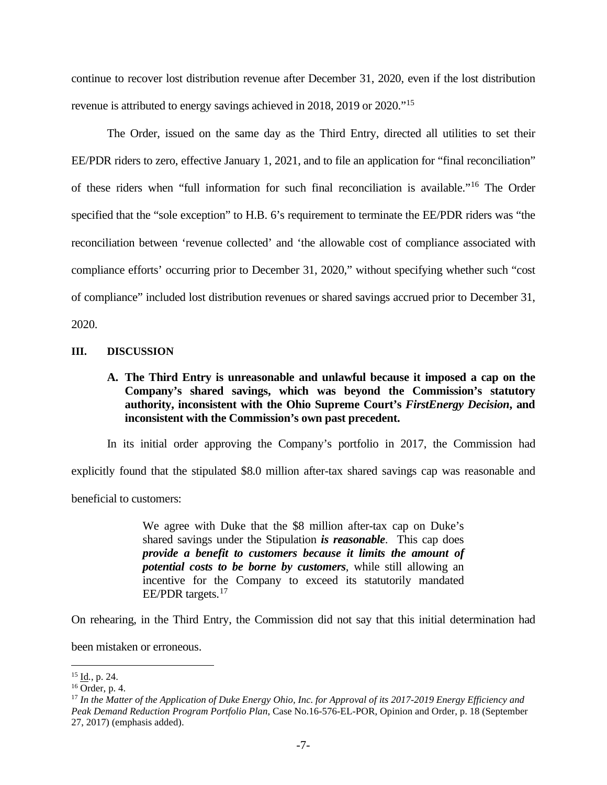continue to recover lost distribution revenue after December 31, 2020, even if the lost distribution revenue is attributed to energy savings achieved in 2018, 2019 or 2020."[15](#page-6-2)

The Order, issued on the same day as the Third Entry, directed all utilities to set their EE/PDR riders to zero, effective January 1, 2021, and to file an application for "final reconciliation" of these riders when "full information for such final reconciliation is available."[16](#page-6-1) The Order specified that the "sole exception" to H.B. 6's requirement to terminate the EE/PDR riders was "the reconciliation between 'revenue collected' and 'the allowable cost of compliance associated with compliance efforts' occurring prior to December 31, 2020," without specifying whether such "cost of compliance" included lost distribution revenues or shared savings accrued prior to December 31, 2020.

**III. DISCUSSION**

**A. The Third Entry is unreasonable and unlawful because it imposed a cap on the Company's shared savings, which was beyond the Commission's statutory authority, inconsistent with the Ohio Supreme Court's** *FirstEnergy Decision***, and inconsistent with the Commission's own past precedent.**

In its initial order approving the Company's portfolio in 2017, the Commission had explicitly found that the stipulated \$8.0 million after-tax shared savings cap was reasonable and beneficial to customers:

> We agree with Duke that the \$8 million after-tax cap on Duke's shared savings under the Stipulation *is reasonable*. This cap does *provide a benefit to customers because it limits the amount of potential costs to be borne by customers*, while still allowing an incentive for the Company to exceed its statutorily mandated EE/PDR targets.<sup>[17](#page-6-0)</sup>

On rehearing, in the Third Entry, the Commission did not say that this initial determination had

been mistaken or erroneous.

<span id="page-6-2"></span><sup>15</sup> Id*.*, p. 24.

<span id="page-6-1"></span> $16$  Order, p. 4.

<span id="page-6-0"></span><sup>17</sup> *In the Matter of the Application of Duke Energy Ohio, Inc. for Approval of its 2017-2019 Energy Efficiency and Peak Demand Reduction Program Portfolio Plan*, Case No.16-576-EL-POR, Opinion and Order, p. 18 (September 27, 2017) (emphasis added).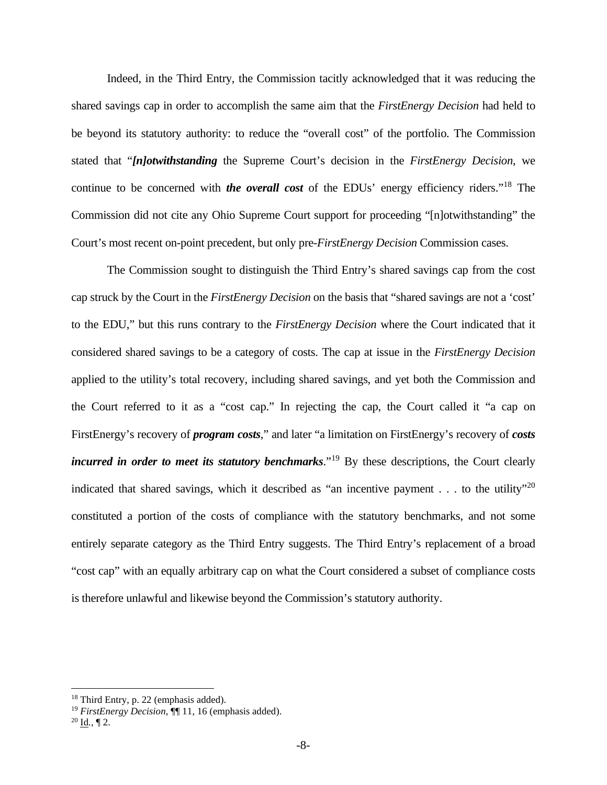Indeed, in the Third Entry, the Commission tacitly acknowledged that it was reducing the shared savings cap in order to accomplish the same aim that the *FirstEnergy Decision* had held to be beyond its statutory authority: to reduce the "overall cost" of the portfolio. The Commission stated that "*[n]otwithstanding* the Supreme Court's decision in the *FirstEnergy Decision*, we continue to be concerned with *the overall cost* of the EDUs' energy efficiency riders."[18](#page-7-2) The Commission did not cite any Ohio Supreme Court support for proceeding "[n]otwithstanding" the Court's most recent on-point precedent, but only pre-*FirstEnergy Decision* Commission cases.

The Commission sought to distinguish the Third Entry's shared savings cap from the cost cap struck by the Court in the *FirstEnergy Decision* on the basis that "shared savings are not a 'cost' to the EDU," but this runs contrary to the *FirstEnergy Decision* where the Court indicated that it considered shared savings to be a category of costs. The cap at issue in the *FirstEnergy Decision* applied to the utility's total recovery, including shared savings, and yet both the Commission and the Court referred to it as a "cost cap." In rejecting the cap, the Court called it "a cap on FirstEnergy's recovery of *program costs*," and later "a limitation on FirstEnergy's recovery of *costs incurred in order to meet its statutory benchmarks*."<sup>[19](#page-7-1)</sup> By these descriptions, the Court clearly indicated that shared savings, which it described as "an incentive payment  $\dots$  to the utility"<sup>[20](#page-7-0)</sup> constituted a portion of the costs of compliance with the statutory benchmarks, and not some entirely separate category as the Third Entry suggests. The Third Entry's replacement of a broad "cost cap" with an equally arbitrary cap on what the Court considered a subset of compliance costs is therefore unlawful and likewise beyond the Commission's statutory authority.

<span id="page-7-2"></span><sup>18</sup> Third Entry, p. 22 (emphasis added).

<sup>19</sup> *FirstEnergy Decision*, ¶¶ 11, 16 (emphasis added).

<span id="page-7-1"></span><span id="page-7-0"></span> $20$  Id.,  $\P$  2.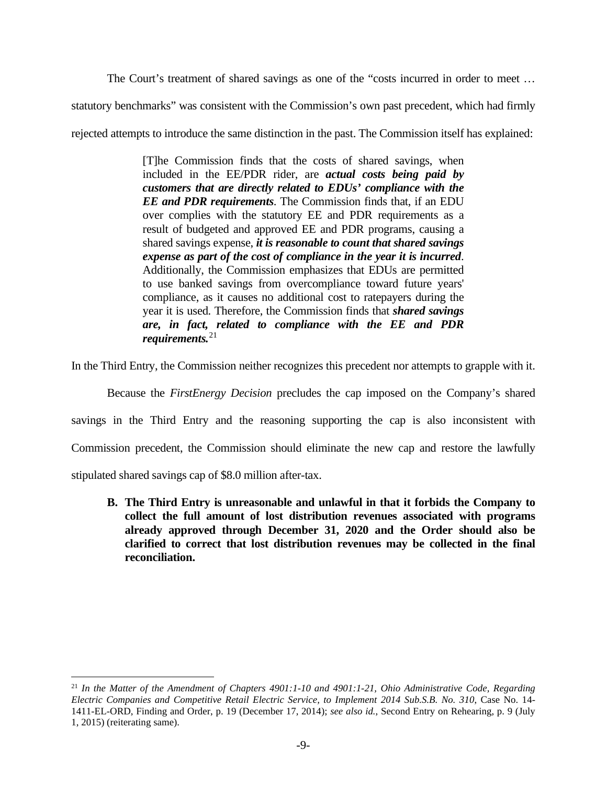The Court's treatment of shared savings as one of the "costs incurred in order to meet …

statutory benchmarks" was consistent with the Commission's own past precedent, which had firmly

rejected attempts to introduce the same distinction in the past. The Commission itself has explained:

[T]he Commission finds that the costs of shared savings, when included in the EE/PDR rider, are *actual costs being paid by customers that are directly related to EDUs' compliance with the EE and PDR requirements*. The Commission finds that, if an EDU over complies with the statutory EE and PDR requirements as a result of budgeted and approved EE and PDR programs, causing a shared savings expense, *it is reasonable to count that shared savings expense as part of the cost of compliance in the year it is incurred*. Additionally, the Commission emphasizes that EDUs are permitted to use banked savings from overcompliance toward future years' compliance, as it causes no additional cost to ratepayers during the year it is used. Therefore, the Commission finds that *shared savings are, in fact, related to compliance with the EE and PDR requirements.*[21](#page-8-0)

In the Third Entry, the Commission neither recognizes this precedent nor attempts to grapple with it.

Because the *FirstEnergy Decision* precludes the cap imposed on the Company's shared

savings in the Third Entry and the reasoning supporting the cap is also inconsistent with

Commission precedent, the Commission should eliminate the new cap and restore the lawfully

stipulated shared savings cap of \$8.0 million after-tax.

**B. The Third Entry is unreasonable and unlawful in that it forbids the Company to collect the full amount of lost distribution revenues associated with programs already approved through December 31, 2020 and the Order should also be clarified to correct that lost distribution revenues may be collected in the final reconciliation.**

<span id="page-8-0"></span><sup>21</sup> *In the Matter of the Amendment of Chapters 4901:1-10 and 4901:1-21, Ohio Administrative Code, Regarding Electric Companies and Competitive Retail Electric Service, to Implement 2014 Sub.S.B. No. 310*, Case No. 14- 1411-EL-ORD, Finding and Order, p. 19 (December 17, 2014); *see also id.*, Second Entry on Rehearing, p. 9 (July 1, 2015) (reiterating same).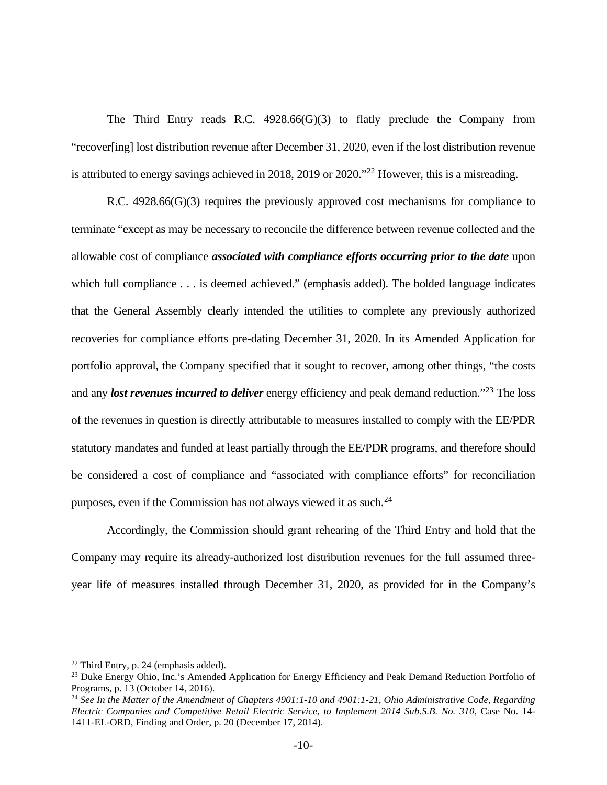The Third Entry reads R.C. 4928.66(G)(3) to flatly preclude the Company from "recover[ing] lost distribution revenue after December 31, 2020, even if the lost distribution revenue is attributed to energy savings achieved in 2018, 2019 or 2020.<sup> $22$ </sup> However, this is a misreading.

R.C. 4928.66(G)(3) requires the previously approved cost mechanisms for compliance to terminate "except as may be necessary to reconcile the difference between revenue collected and the allowable cost of compliance *associated with compliance efforts occurring prior to the date* upon which full compliance . . . is deemed achieved." (emphasis added). The bolded language indicates that the General Assembly clearly intended the utilities to complete any previously authorized recoveries for compliance efforts pre-dating December 31, 2020. In its Amended Application for portfolio approval, the Company specified that it sought to recover, among other things, "the costs and any *lost revenues incurred to deliver* energy efficiency and peak demand reduction."[23](#page-9-1) The loss of the revenues in question is directly attributable to measures installed to comply with the EE/PDR statutory mandates and funded at least partially through the EE/PDR programs, and therefore should be considered a cost of compliance and "associated with compliance efforts" for reconciliation purposes, even if the Commission has not always viewed it as such.<sup>[24](#page-9-0)</sup>

Accordingly, the Commission should grant rehearing of the Third Entry and hold that the Company may require its already-authorized lost distribution revenues for the full assumed threeyear life of measures installed through December 31, 2020, as provided for in the Company's

<span id="page-9-2"></span><sup>22</sup> Third Entry, p. 24 (emphasis added).

<span id="page-9-1"></span><sup>&</sup>lt;sup>23</sup> Duke Energy Ohio, Inc.'s Amended Application for Energy Efficiency and Peak Demand Reduction Portfolio of Programs, p. 13 (October 14, 2016).

<span id="page-9-0"></span><sup>&</sup>lt;sup>24</sup> See In the Matter of the Amendment of Chapters 4901:1-10 and 4901:1-21, Ohio Administrative Code, Regarding *Electric Companies and Competitive Retail Electric Service, to Implement 2014 Sub.S.B. No. 310*, Case No. 14- 1411-EL-ORD, Finding and Order, p. 20 (December 17, 2014).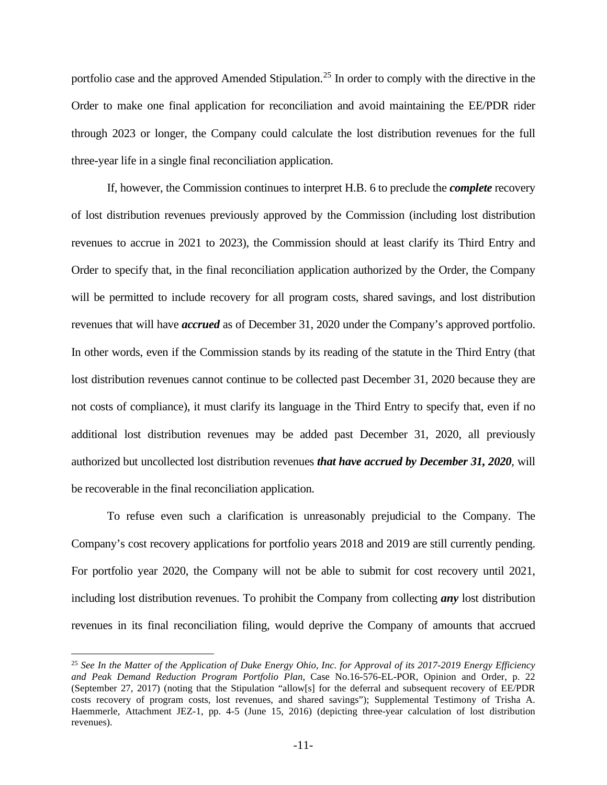portfolio case and the approved Amended Stipulation.<sup>[25](#page-10-0)</sup> In order to comply with the directive in the Order to make one final application for reconciliation and avoid maintaining the EE/PDR rider through 2023 or longer, the Company could calculate the lost distribution revenues for the full three-year life in a single final reconciliation application.

If, however, the Commission continues to interpret H.B. 6 to preclude the *complete* recovery of lost distribution revenues previously approved by the Commission (including lost distribution revenues to accrue in 2021 to 2023), the Commission should at least clarify its Third Entry and Order to specify that, in the final reconciliation application authorized by the Order, the Company will be permitted to include recovery for all program costs, shared savings, and lost distribution revenues that will have *accrued* as of December 31, 2020 under the Company's approved portfolio. In other words, even if the Commission stands by its reading of the statute in the Third Entry (that lost distribution revenues cannot continue to be collected past December 31, 2020 because they are not costs of compliance), it must clarify its language in the Third Entry to specify that, even if no additional lost distribution revenues may be added past December 31, 2020, all previously authorized but uncollected lost distribution revenues *that have accrued by December 31, 2020*, will be recoverable in the final reconciliation application.

To refuse even such a clarification is unreasonably prejudicial to the Company. The Company's cost recovery applications for portfolio years 2018 and 2019 are still currently pending. For portfolio year 2020, the Company will not be able to submit for cost recovery until 2021, including lost distribution revenues. To prohibit the Company from collecting *any* lost distribution revenues in its final reconciliation filing, would deprive the Company of amounts that accrued

<span id="page-10-0"></span><sup>25</sup> *See In the Matter of the Application of Duke Energy Ohio, Inc. for Approval of its 2017-2019 Energy Efficiency and Peak Demand Reduction Program Portfolio Plan*, Case No.16-576-EL-POR, Opinion and Order, p. 22 (September 27, 2017) (noting that the Stipulation "allow[s] for the deferral and subsequent recovery of EE/PDR costs recovery of program costs, lost revenues, and shared savings"); Supplemental Testimony of Trisha A. Haemmerle, Attachment JEZ-1, pp. 4-5 (June 15, 2016) (depicting three-year calculation of lost distribution revenues).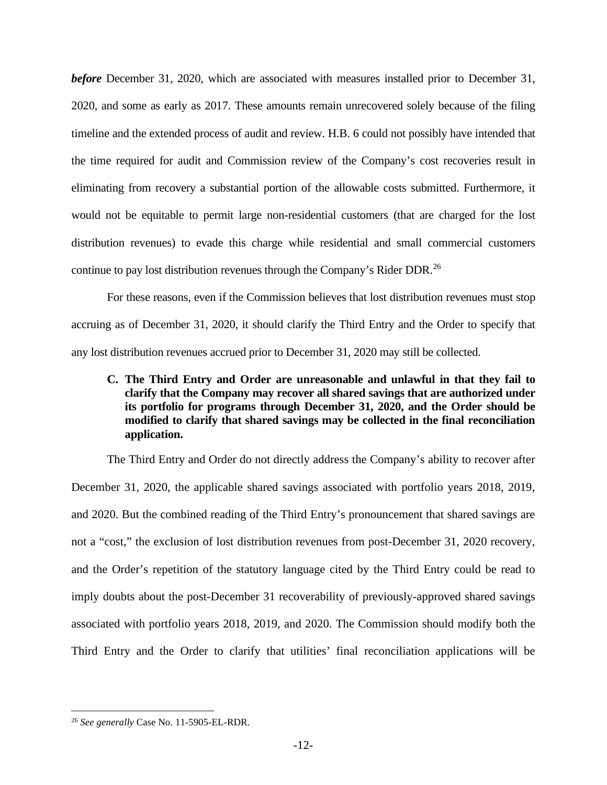*before* December 31, 2020, which are associated with measures installed prior to December 31, 2020, and some as early as 2017. These amounts remain unrecovered solely because of the filing timeline and the extended process of audit and review. H.B. 6 could not possibly have intended that the time required for audit and Commission review of the Company's cost recoveries result in eliminating from recovery a substantial portion of the allowable costs submitted. Furthermore, it would not be equitable to permit large non-residential customers (that are charged for the lost distribution revenues) to evade this charge while residential and small commercial customers continue to pay lost distribution revenues through the Company's Rider DDR.[26](#page-11-0)

For these reasons, even if the Commission believes that lost distribution revenues must stop accruing as of December 31, 2020, it should clarify the Third Entry and the Order to specify that any lost distribution revenues accrued prior to December 31, 2020 may still be collected.

## **C. The Third Entry and Order are unreasonable and unlawful in that they fail to clarify that the Company may recover all shared savings that are authorized under its portfolio for programs through December 31, 2020, and the Order should be modified to clarify that shared savings may be collected in the final reconciliation application.**

The Third Entry and Order do not directly address the Company's ability to recover after December 31, 2020, the applicable shared savings associated with portfolio years 2018, 2019, and 2020. But the combined reading of the Third Entry's pronouncement that shared savings are not a "cost," the exclusion of lost distribution revenues from post-December 31, 2020 recovery, and the Order's repetition of the statutory language cited by the Third Entry could be read to imply doubts about the post-December 31 recoverability of previously-approved shared savings associated with portfolio years 2018, 2019, and 2020. The Commission should modify both the Third Entry and the Order to clarify that utilities' final reconciliation applications will be

<span id="page-11-0"></span><sup>26</sup> *See generally* Case No. 11-5905-EL-RDR.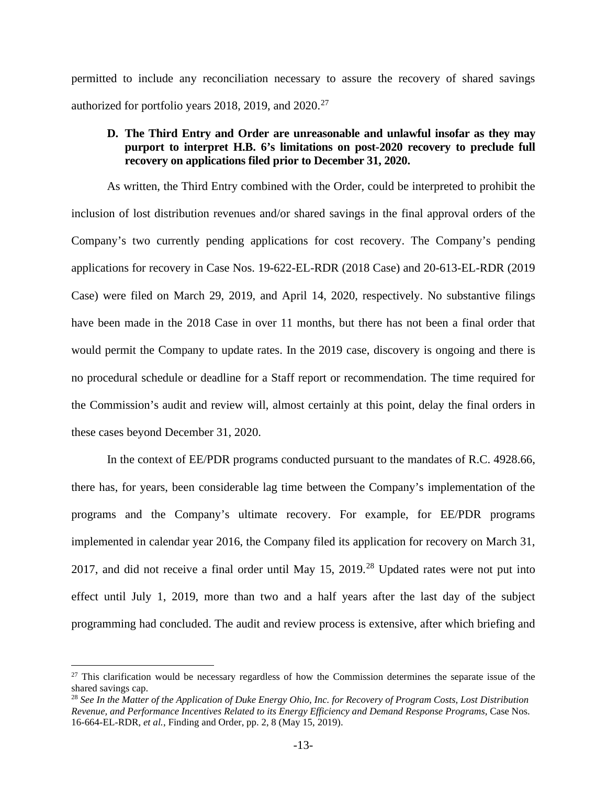permitted to include any reconciliation necessary to assure the recovery of shared savings authorized for portfolio years 2018, 2019, and  $2020$ <sup>[27](#page-12-1)</sup>

### **D. The Third Entry and Order are unreasonable and unlawful insofar as they may purport to interpret H.B. 6's limitations on post-2020 recovery to preclude full recovery on applications filed prior to December 31, 2020.**

As written, the Third Entry combined with the Order, could be interpreted to prohibit the inclusion of lost distribution revenues and/or shared savings in the final approval orders of the Company's two currently pending applications for cost recovery. The Company's pending applications for recovery in Case Nos. 19-622-EL-RDR (2018 Case) and 20-613-EL-RDR (2019 Case) were filed on March 29, 2019, and April 14, 2020, respectively. No substantive filings have been made in the 2018 Case in over 11 months, but there has not been a final order that would permit the Company to update rates. In the 2019 case, discovery is ongoing and there is no procedural schedule or deadline for a Staff report or recommendation. The time required for the Commission's audit and review will, almost certainly at this point, delay the final orders in these cases beyond December 31, 2020.

In the context of EE/PDR programs conducted pursuant to the mandates of R.C. 4928.66, there has, for years, been considerable lag time between the Company's implementation of the programs and the Company's ultimate recovery. For example, for EE/PDR programs implemented in calendar year 2016, the Company filed its application for recovery on March 31, 2017, and did not receive a final order until May  $15$ ,  $2019<sup>28</sup>$  $2019<sup>28</sup>$  $2019<sup>28</sup>$  Updated rates were not put into effect until July 1, 2019, more than two and a half years after the last day of the subject programming had concluded. The audit and review process is extensive, after which briefing and

<span id="page-12-1"></span><sup>&</sup>lt;sup>27</sup> This clarification would be necessary regardless of how the Commission determines the separate issue of the shared savings cap.

<span id="page-12-0"></span><sup>28</sup> *See In the Matter of the Application of Duke Energy Ohio, Inc. for Recovery of Program Costs, Lost Distribution Revenue, and Performance Incentives Related to its Energy Efficiency and Demand Response Programs*, Case Nos. 16-664-EL-RDR, *et al.*, Finding and Order, pp. 2, 8 (May 15, 2019).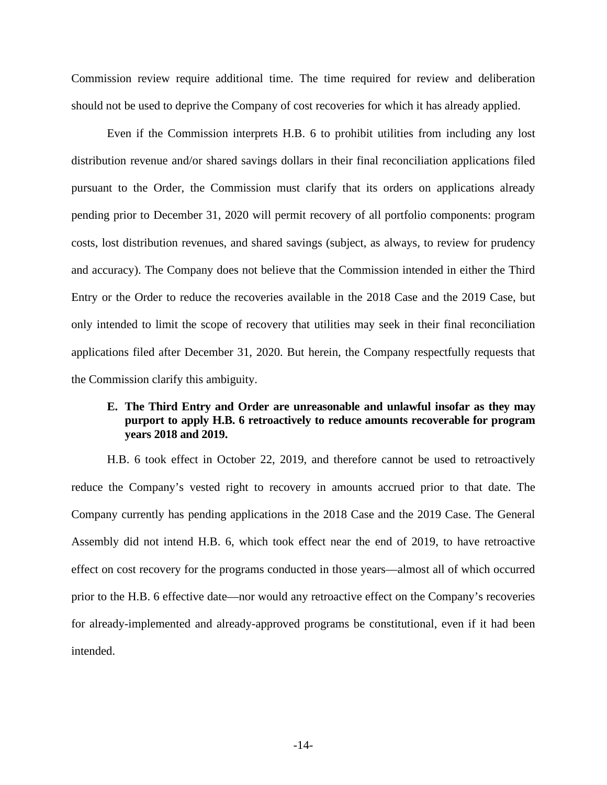Commission review require additional time. The time required for review and deliberation should not be used to deprive the Company of cost recoveries for which it has already applied.

Even if the Commission interprets H.B. 6 to prohibit utilities from including any lost distribution revenue and/or shared savings dollars in their final reconciliation applications filed pursuant to the Order, the Commission must clarify that its orders on applications already pending prior to December 31, 2020 will permit recovery of all portfolio components: program costs, lost distribution revenues, and shared savings (subject, as always, to review for prudency and accuracy). The Company does not believe that the Commission intended in either the Third Entry or the Order to reduce the recoveries available in the 2018 Case and the 2019 Case, but only intended to limit the scope of recovery that utilities may seek in their final reconciliation applications filed after December 31, 2020. But herein, the Company respectfully requests that the Commission clarify this ambiguity.

### **E. The Third Entry and Order are unreasonable and unlawful insofar as they may purport to apply H.B. 6 retroactively to reduce amounts recoverable for program years 2018 and 2019.**

H.B. 6 took effect in October 22, 2019, and therefore cannot be used to retroactively reduce the Company's vested right to recovery in amounts accrued prior to that date. The Company currently has pending applications in the 2018 Case and the 2019 Case. The General Assembly did not intend H.B. 6, which took effect near the end of 2019, to have retroactive effect on cost recovery for the programs conducted in those years—almost all of which occurred prior to the H.B. 6 effective date—nor would any retroactive effect on the Company's recoveries for already-implemented and already-approved programs be constitutional, even if it had been intended.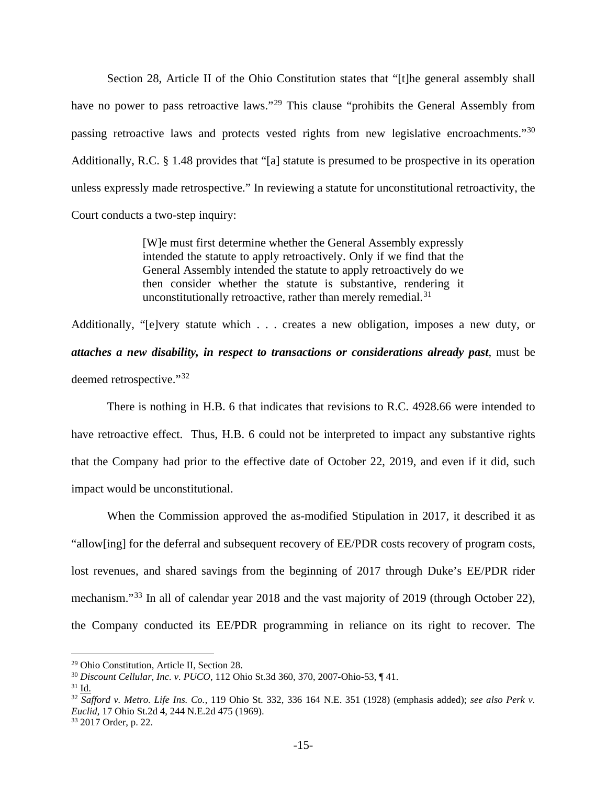Section 28, Article II of the Ohio Constitution states that "[t]he general assembly shall have no power to pass retroactive laws."<sup>[29](#page-14-3)</sup> This clause "prohibits the General Assembly from passing retroactive laws and protects vested rights from new legislative encroachments."[30](#page-14-4) Additionally, R.C. § 1.48 provides that "[a] statute is presumed to be prospective in its operation unless expressly made retrospective." In reviewing a statute for unconstitutional retroactivity, the Court conducts a two-step inquiry:

> [W]e must first determine whether the General Assembly expressly intended the statute to apply retroactively. Only if we find that the General Assembly intended the statute to apply retroactively do we then consider whether the statute is substantive, rendering it unconstitutionally retroactive, rather than merely remedial. $31$

Additionally, "[e]very statute which . . . creates a new obligation, imposes a new duty, or *attaches a new disability, in respect to transactions or considerations already past*, must be deemed retrospective."[32](#page-14-0)

There is nothing in H.B. 6 that indicates that revisions to R.C. 4928.66 were intended to have retroactive effect. Thus, H.B. 6 could not be interpreted to impact any substantive rights that the Company had prior to the effective date of October 22, 2019, and even if it did, such impact would be unconstitutional.

When the Commission approved the as-modified Stipulation in 2017, it described it as "allow[ing] for the deferral and subsequent recovery of EE/PDR costs recovery of program costs, lost revenues, and shared savings from the beginning of 2017 through Duke's EE/PDR rider mechanism."<sup>[33](#page-14-1)</sup> In all of calendar year 2018 and the vast majority of 2019 (through October 22), the Company conducted its EE/PDR programming in reliance on its right to recover. The

<span id="page-14-3"></span><sup>29</sup> Ohio Constitution, Article II, Section 28.

<span id="page-14-4"></span><sup>30</sup> *Discount Cellular, Inc. v. PUCO*, 112 Ohio St.3d 360, 370, 2007-Ohio-53, ¶ 41.

<span id="page-14-2"></span> $31$  Id.

<span id="page-14-0"></span><sup>32</sup> *Safford v. Metro. Life Ins. Co.*, 119 Ohio St. 332, 336 164 N.E. 351 (1928) (emphasis added); *see also Perk v. Euclid*, 17 Ohio St.2d 4, 244 N.E.2d 475 (1969).

<span id="page-14-1"></span><sup>33</sup> 2017 Order, p. 22.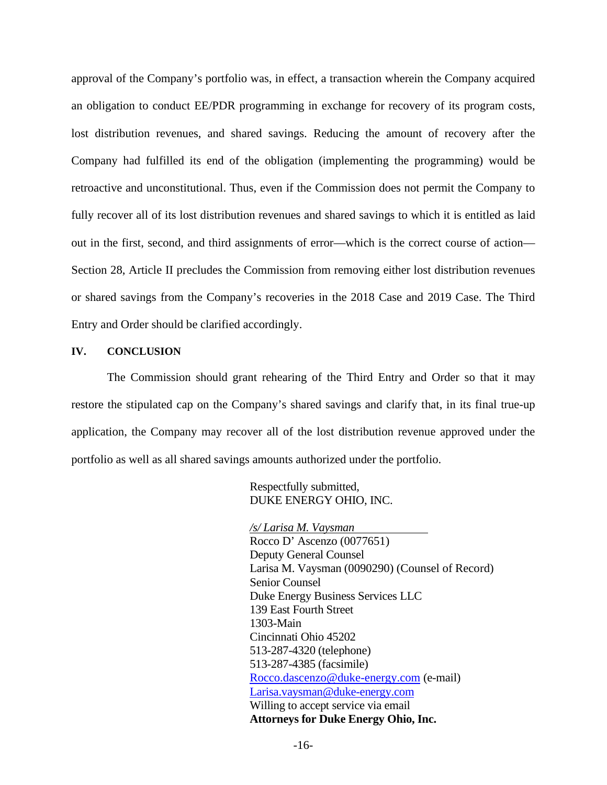approval of the Company's portfolio was, in effect, a transaction wherein the Company acquired an obligation to conduct EE/PDR programming in exchange for recovery of its program costs, lost distribution revenues, and shared savings. Reducing the amount of recovery after the Company had fulfilled its end of the obligation (implementing the programming) would be retroactive and unconstitutional. Thus, even if the Commission does not permit the Company to fully recover all of its lost distribution revenues and shared savings to which it is entitled as laid out in the first, second, and third assignments of error—which is the correct course of action— Section 28, Article II precludes the Commission from removing either lost distribution revenues or shared savings from the Company's recoveries in the 2018 Case and 2019 Case. The Third Entry and Order should be clarified accordingly.

#### **IV. CONCLUSION**

The Commission should grant rehearing of the Third Entry and Order so that it may restore the stipulated cap on the Company's shared savings and clarify that, in its final true-up application, the Company may recover all of the lost distribution revenue approved under the portfolio as well as all shared savings amounts authorized under the portfolio.

> Respectfully submitted, DUKE ENERGY OHIO, INC.

*/s/ Larisa M. Vaysman* Rocco D' Ascenzo (0077651) Deputy General Counsel Larisa M. Vaysman (0090290) (Counsel of Record) Senior Counsel Duke Energy Business Services LLC 139 East Fourth Street 1303-Main Cincinnati Ohio 45202 513-287-4320 (telephone) 513-287-4385 (facsimile) [Rocco.dascenzo@duke-energy.com](mailto:Rocco.dascenzo@duke-energy.com) (e-mail) [Larisa.vaysman@duke-energy.com](mailto:Larisa.vaysman@duke-energy.com) Willing to accept service via email **Attorneys for Duke Energy Ohio, Inc.**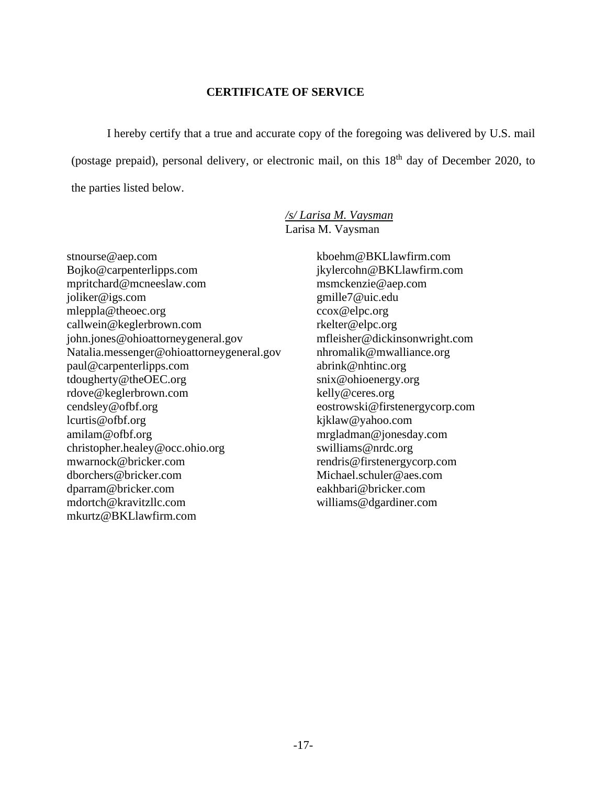### **CERTIFICATE OF SERVICE**

I hereby certify that a true and accurate copy of the foregoing was delivered by U.S. mail (postage prepaid), personal delivery, or electronic mail, on this 18<sup>th</sup> day of December 2020, to the parties listed below.

> */s/ Larisa M. Vaysman* Larisa M. Vaysman

stnourse@aep.com Bojko@carpenterlipps.com mpritchard@mcneeslaw.com joliker@igs.com mleppla@theoec.org callwein@keglerbrown.com john.jones@ohioattorneygeneral.gov Natalia.messenger@ohioattorneygeneral.gov paul@carpenterlipps.com tdougherty@theOEC.org rdove@keglerbrown.com cendsley@ofbf.org lcurtis@ofbf.org amilam@ofbf.org christopher.healey@occ.ohio.org mwarnock@bricker.com dborchers@bricker.com dparram@bricker.com mdortch@kravitzllc.com mkurtz@BKLlawfirm.com

kboehm@BKLlawfirm.com jkylercohn@BKLlawfirm.com msmckenzie@aep.com gmille7@uic.edu ccox@elpc.org rkelter@elpc.org mfleisher@dickinsonwright.com nhromalik@mwalliance.org abrink@nhtinc.org snix@ohioenergy.org kelly@ceres.org eostrowski@firstenergycorp.com kjklaw@yahoo.com mrgladman@jonesday.com swilliams@nrdc.org rendris@firstenergycorp.com Michael.schuler@aes.com eakhbari@bricker.com williams@dgardiner.com